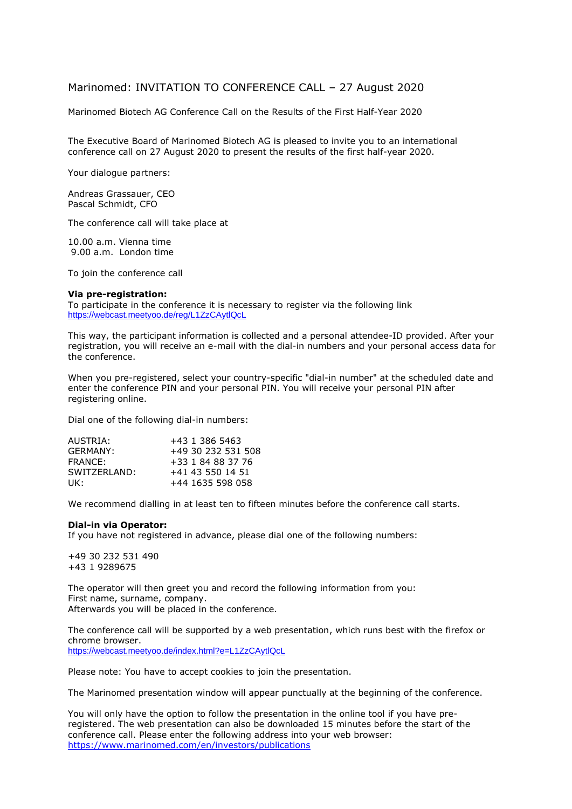## Marinomed: INVITATION TO CONFERENCE CALL – 27 August 2020

Marinomed Biotech AG Conference Call on the Results of the First Half-Year 2020

The Executive Board of Marinomed Biotech AG is pleased to invite you to an international conference call on 27 August 2020 to present the results of the first half-year 2020.

Your dialogue partners:

Andreas Grassauer, CEO Pascal Schmidt, CFO

The conference call will take place at

10.00 a.m. Vienna time 9.00 a.m. London time

To join the conference call

## **Via pre-registration:**

To participate in the conference it is necessary to register via the following link <https://webcast.meetyoo.de/reg/L1ZzCAytlQcL>

This way, the participant information is collected and a personal attendee-ID provided. After your registration, you will receive an e-mail with the dial-in numbers and your personal access data for the conference.

When you pre-registered, select your country-specific "dial-in number" at the scheduled date and enter the conference PIN and your personal PIN. You will receive your personal PIN after registering online.

Dial one of the following dial-in numbers:

| AUSTRIA:      | +43 1 386 5463     |
|---------------|--------------------|
| GFRMANY:      | +49 30 232 531 508 |
| FRANCE:       | +33 1 84 88 37 76  |
| SWITZERI AND: | +41 43 550 14 51   |
| UK:           | +44 1635 598 058   |

We recommend dialling in at least ten to fifteen minutes before the conference call starts.

## **Dial-in via Operator:**

If you have not registered in advance, please dial one of the following numbers:

+49 30 232 531 490 +43 1 9289675

The operator will then greet you and record the following information from you: First name, surname, company. Afterwards you will be placed in the conference.

The conference call will be supported by a web presentation, which runs best with the firefox or chrome browser. <https://webcast.meetyoo.de/index.html?e=L1ZzCAytlQcL>

Please note: You have to accept cookies to join the presentation.

The Marinomed presentation window will appear punctually at the beginning of the conference.

You will only have the option to follow the presentation in the online tool if you have preregistered. The web presentation can also be downloaded 15 minutes before the start of the conference call. Please enter the following address into your web browser: <https://www.marinomed.com/en/investors/publications>